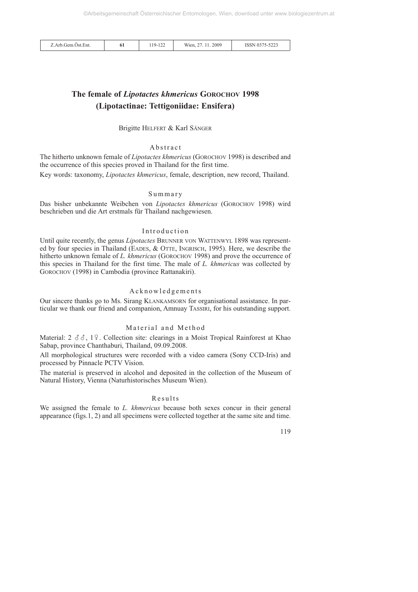| Z.Arb.Gem.Öst.Ent. | 0 <sub>1</sub> | $119 - 122$<br>$\sqrt{2}$ | 11.2009<br>Wien. | ISSN 0375-5223 |
|--------------------|----------------|---------------------------|------------------|----------------|
|--------------------|----------------|---------------------------|------------------|----------------|

# **The female of** *Lipotactes khmericus* **GOROCHOV 1998 (Lipotactinae: Tettigoniidae: Ensifera)**

Brigitte HELFERT & Karl SÄNGER

#### Abstract

The hitherto unknown female of *Lipotactes khmericus* (GOROCHOV 1998) is described and the occurrence of this species proved in Thailand for the first time.

Key words: taxonomy, *Lipotactes khmericus*, female, description, new record, Thailand.

### Summary

Das bisher unbekannte Weibchen von *Lipotactes khmericus* (GOROCHOV 1998) wird beschrieben und die Art erstmals für Thailand nachgewiesen.

#### Introduction

Until quite recently, the genus *Lipotactes* BRUNNER VON WATTENWYL 1898 was represented by four species in Thailand (EADES, & OTTE, INGRISCH, 1995). Here, we describe the hitherto unknown female of *L. khmericus* (GOROCHOV 1998) and prove the occurrence of this species in Thailand for the first time. The male of *L. khmericus* was collected by GOROCHOV (1998) in Cambodia (province Rattanakiri).

#### Acknowledgements

Our sincere thanks go to Ms. Sirang KLANKAMSORN for organisational assistance. In particular we thank our friend and companion, Amnuay TASSIRI, for his outstanding support.

# Material and Method

Material: 2  $\delta\delta$ , 19. Collection site: clearings in a Moist Tropical Rainforest at Khao Sabap, province Chanthaburi, Thailand, 09.09.2008.

All morphological structures were recorded with a video camera (Sony CCD-Iris) and processed by Pinnacle PCTV Vision.

The material is preserved in alcohol and deposited in the collection of the Museum of Natural History, Vienna (Naturhistorisches Museum Wien).

## Results

We assigned the female to *L. khmericus* because both sexes concur in their general appearance (figs.1, 2) and all specimens were collected together at the same site and time.

119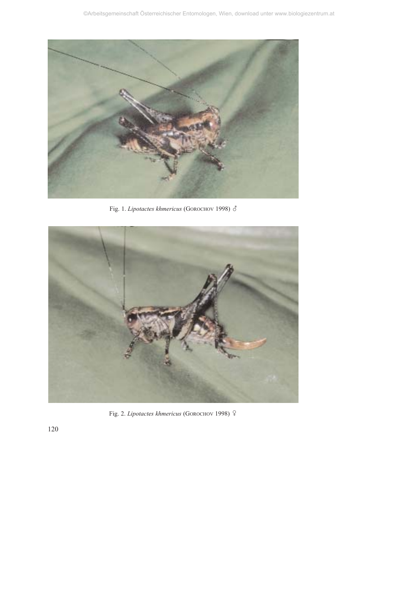

Fig. 1. *Lipotactes khmericus* (GOROCHOV 1998) ்



Fig. 2. *Lipotactes khmericus* (GOROCHOV 1998)

120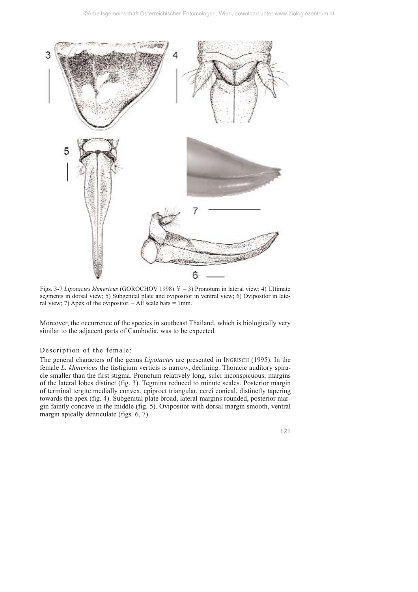

Figs. 3-7 *Lipotactes khmericus* (GOROCHOV 1998)  $\frac{9}{7}$  – 3) Pronotum in lateral view; 4) Ultimate segments in dorsal view; 5) Subgenital plate and ovipositor in ventral view; 6) Ovipositor in lateral view; 7) Apex of the ovipositor.  $-AII$  scale bars  $= 1$ mm.

Moreover, the occurrence of the species in southeast Thailand, which is biologically very similar to the adjacent parts of Cambodia, was to be expected.

#### Description of the female:

The general characters of the genus *Lipotactes* are presented in INGRISCH (1995). In the female *L. khmericus* the fastigium verticis is narrow, declining. Thoracic auditory spiracle smaller than the first stigma. Pronotum relatively long, sulci inconspicuous; margins of the lateral lobes distinct (fig. 3). Tegmina reduced to minute scales. Posterior margin of terminal tergite medially convex, epiproct triangular, cerci conical, distinctly tapering towards the apex (fig. 4). Subgenital plate broad, lateral margins rounded, posterior margin faintly concave in the middle (fig. 5). Ovipositor with dorsal margin smooth, ventral margin apically denticulate (figs. 6, 7).

121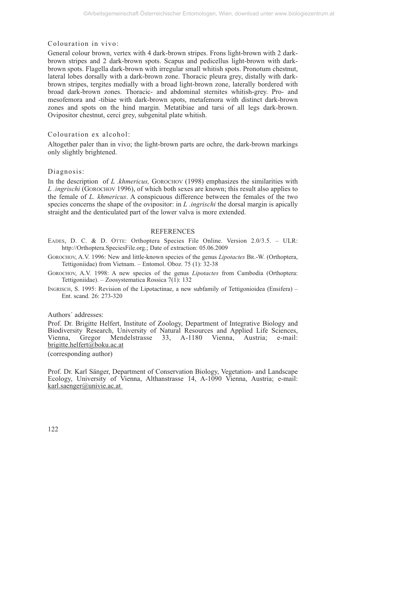# Colouration in vivo:

General colour brown, vertex with 4 dark-brown stripes. Frons light-brown with 2 darkbrown stripes and 2 dark-brown spots. Scapus and pedicellus light-brown with darkbrown spots. Flagella dark-brown with irregular small whitish spots. Pronotum chestnut, lateral lobes dorsally with a dark-brown zone. Thoracic pleura grey, distally with darkbrown stripes, tergites medially with a broad light-brown zone, laterally bordered with broad dark-brown zones. Thoracic- and abdominal sternites whitish-grey. Pro- and mesofemora and -tibiae with dark-brown spots, metafemora with distinct dark-brown zones and spots on the hind margin. Metatibiae and tarsi of all legs dark-brown. Ovipositor chestnut, cerci grey, subgenital plate whitish.

### Colouration ex alcohol:

Altogether paler than in vivo; the light-brown parts are ochre, the dark-brown markings only slightly brightened.

#### Diagnosis:

In the description of *L .khmericus,* GOROCHOV (1998) emphasizes the similarities with *L .ingrischi* (GOROCHOV 1996), of which both sexes are known; this result also applies to the female of *L. khmericus*. A conspicuous difference between the females of the two species concerns the shape of the ovipositor: in *L .ingrischi* the dorsal margin is apically straight and the denticulated part of the lower valva is more extended.

#### REFERENCES

- EADES, D. C. & D. OTTE: Orthoptera Species File Online. Version 2.0/3.5. ULR: http://Orthoptera.SpeciesFile.org.; Date of extraction: 05.06.2009
- GOROCHOV, A.V. 1996: New and little-known species of the genus *Lipotactes* BR.-W. (Orthoptera, Tettigoniidae) from Vietnam. – Entomol. Oboz. 75 (1): 32-38
- GOROCHOV, A.V. 1998: A new species of the genus *Lipotactes* from Cambodia (Orthoptera: Tettigoniidae). – Zoosystematica Rossica 7(1): 132
- INGRISCH, S. 1995: Revision of the Lipotactinae, a new subfamily of Tettigonioidea (Ensifera) Ent. scand. 26: 273-320

#### Authors´ addresses:

Prof. Dr. Brigitte Helfert, Institute of Zoology, Department of Integrative Biology and Biodiversity Research, University of Natural Resources and Applied Life Sciences, Vienna, Gregor Mendelstrasse 33, A-1180 Vienna, Austria; e-mail: brigitte.helfert@boku.ac.at

(corresponding author)

Prof. Dr. Karl Sänger, Department of Conservation Biology, Vegetation- and Landscape Ecology, University of Vienna, Althanstrasse 14, A-1090 Vienna, Austria; e-mail: karl.saenger@univie.ac.at